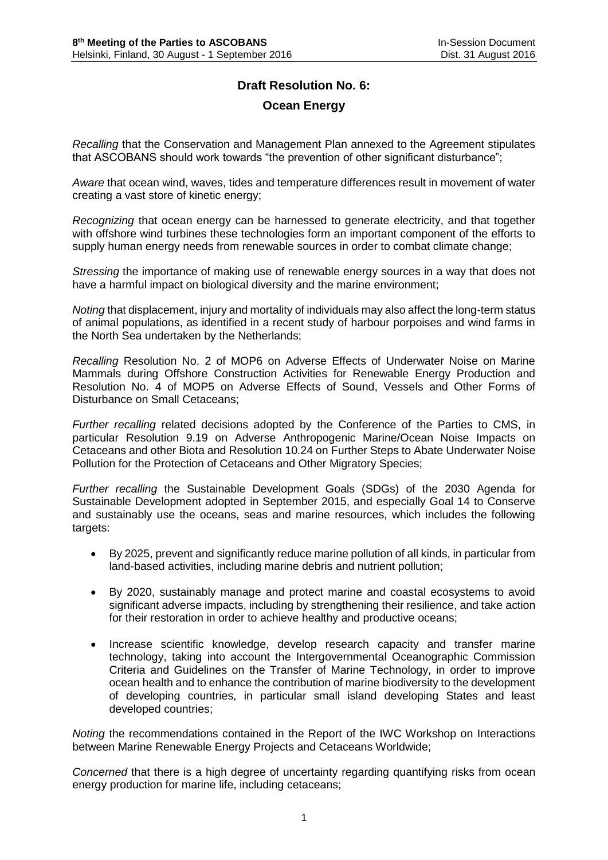## **Draft Resolution No. 6:**

## **Ocean Energy**

*Recalling* that the Conservation and Management Plan annexed to the Agreement stipulates that ASCOBANS should work towards "the prevention of other significant disturbance";

*Aware* that ocean wind, waves, tides and temperature differences result in movement of water creating a vast store of kinetic energy;

*Recognizing* that ocean energy can be harnessed to generate electricity, and that together with offshore wind turbines these technologies form an important component of the efforts to supply human energy needs from renewable sources in order to combat climate change;

*Stressing* the importance of making use of renewable energy sources in a way that does not have a harmful impact on biological diversity and the marine environment;

*Noting* that displacement, injury and mortality of individuals may also affect the long-term status of animal populations, as identified in a recent study of harbour porpoises and wind farms in the North Sea undertaken by the Netherlands;

*Recalling* Resolution No. 2 of MOP6 on Adverse Effects of Underwater Noise on Marine Mammals during Offshore Construction Activities for Renewable Energy Production and Resolution No. 4 of MOP5 on Adverse Effects of Sound, Vessels and Other Forms of Disturbance on Small Cetaceans;

*Further recalling* related decisions adopted by the Conference of the Parties to CMS, in particular Resolution 9.19 on Adverse Anthropogenic Marine/Ocean Noise Impacts on Cetaceans and other Biota and Resolution 10.24 on Further Steps to Abate Underwater Noise Pollution for the Protection of Cetaceans and Other Migratory Species;

*Further recalling* the Sustainable Development Goals (SDGs) of the 2030 Agenda for Sustainable Development adopted in September 2015, and especially Goal 14 to Conserve and sustainably use the oceans, seas and marine resources, which includes the following targets:

- By 2025, prevent and significantly reduce marine pollution of all kinds, in particular from land-based activities, including marine debris and nutrient pollution;
- By 2020, sustainably manage and protect marine and coastal ecosystems to avoid significant adverse impacts, including by strengthening their resilience, and take action for their restoration in order to achieve healthy and productive oceans;
- Increase scientific knowledge, develop research capacity and transfer marine technology, taking into account the Intergovernmental Oceanographic Commission Criteria and Guidelines on the Transfer of Marine Technology, in order to improve ocean health and to enhance the contribution of marine biodiversity to the development of developing countries, in particular small island developing States and least developed countries;

*Noting* the recommendations contained in the Report of the IWC Workshop on Interactions between Marine Renewable Energy Projects and Cetaceans Worldwide;

*Concerned* that there is a high degree of uncertainty regarding quantifying risks from ocean energy production for marine life, including cetaceans;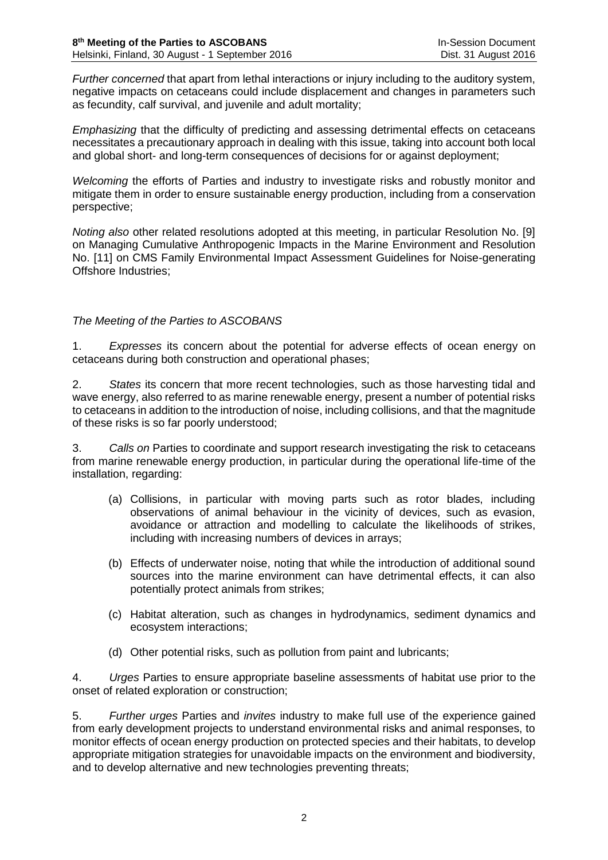*Further concerned* that apart from lethal interactions or injury including to the auditory system, negative impacts on cetaceans could include displacement and changes in parameters such as fecundity, calf survival, and juvenile and adult mortality;

*Emphasizing* that the difficulty of predicting and assessing detrimental effects on cetaceans necessitates a precautionary approach in dealing with this issue, taking into account both local and global short- and long-term consequences of decisions for or against deployment;

*Welcoming* the efforts of Parties and industry to investigate risks and robustly monitor and mitigate them in order to ensure sustainable energy production, including from a conservation perspective;

*Noting also* other related resolutions adopted at this meeting, in particular Resolution No. [9] on Managing Cumulative Anthropogenic Impacts in the Marine Environment and Resolution No. [11] on CMS Family Environmental Impact Assessment Guidelines for Noise-generating Offshore Industries;

## *The Meeting of the Parties to ASCOBANS*

1. *Expresses* its concern about the potential for adverse effects of ocean energy on cetaceans during both construction and operational phases;

2. *States* its concern that more recent technologies, such as those harvesting tidal and wave energy, also referred to as marine renewable energy, present a number of potential risks to cetaceans in addition to the introduction of noise, including collisions, and that the magnitude of these risks is so far poorly understood;

3. *Calls on* Parties to coordinate and support research investigating the risk to cetaceans from marine renewable energy production, in particular during the operational life-time of the installation, regarding:

- (a) Collisions, in particular with moving parts such as rotor blades, including observations of animal behaviour in the vicinity of devices, such as evasion, avoidance or attraction and modelling to calculate the likelihoods of strikes, including with increasing numbers of devices in arrays;
- (b) Effects of underwater noise, noting that while the introduction of additional sound sources into the marine environment can have detrimental effects, it can also potentially protect animals from strikes;
- (c) Habitat alteration, such as changes in hydrodynamics, sediment dynamics and ecosystem interactions;
- (d) Other potential risks, such as pollution from paint and lubricants;

4. *Urges* Parties to ensure appropriate baseline assessments of habitat use prior to the onset of related exploration or construction;

5. *Further urges* Parties and *invites* industry to make full use of the experience gained from early development projects to understand environmental risks and animal responses, to monitor effects of ocean energy production on protected species and their habitats, to develop appropriate mitigation strategies for unavoidable impacts on the environment and biodiversity, and to develop alternative and new technologies preventing threats;